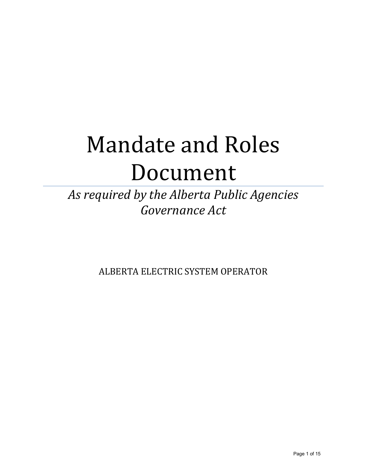# Mandate and Roles Document

# *As required by the Alberta Public Agencies Governance Act*

ALBERTA ELECTRIC SYSTEM OPERATOR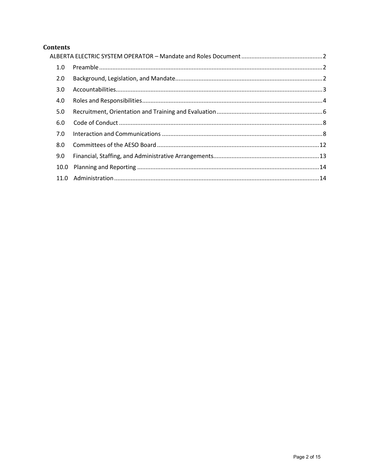# **Contents**

| 1.0  |  |  |
|------|--|--|
| 2.0  |  |  |
| 3.0  |  |  |
| 4.0  |  |  |
| 5.0  |  |  |
| 6.0  |  |  |
| 7.0  |  |  |
| 8.0  |  |  |
| 9.0  |  |  |
| 10.0 |  |  |
|      |  |  |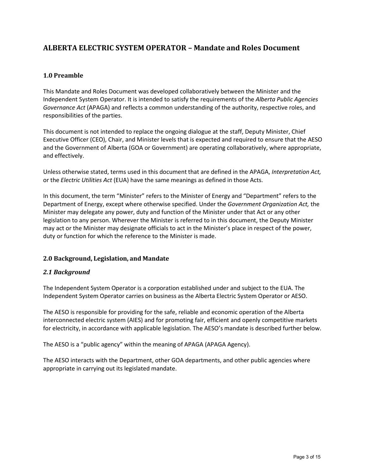# <span id="page-2-0"></span>**ALBERTA ELECTRIC SYSTEM OPERATOR – Mandate and Roles Document**

# <span id="page-2-1"></span>**1.0 Preamble**

This Mandate and Roles Document was developed collaboratively between the Minister and the Independent System Operator. It is intended to satisfy the requirements of the *Alberta Public Agencies Governance Act* (APAGA) and reflects a common understanding of the authority, respective roles, and responsibilities of the parties.

This document is not intended to replace the ongoing dialogue at the staff, Deputy Minister, Chief Executive Officer (CEO), Chair, and Minister levels that is expected and required to ensure that the AESO and the Government of Alberta (GOA or Government) are operating collaboratively, where appropriate, and effectively.

Unless otherwise stated, terms used in this document that are defined in the APAGA, *Interpretation Act,* or the *Electric Utilities Act* (EUA) have the same meanings as defined in those Acts.

In this document, the term "Minister" refers to the Minister of Energy and "Department" refers to the Department of Energy, except where otherwise specified. Under the *Government Organization Act,* the Minister may delegate any power, duty and function of the Minister under that Act or any other legislation to any person. Wherever the Minister is referred to in this document, the Deputy Minister may act or the Minister may designate officials to act in the Minister's place in respect of the power, duty or function for which the reference to the Minister is made.

# <span id="page-2-2"></span>**2.0 Background, Legislation, and Mandate**

# *2.1 Background*

The Independent System Operator is a corporation established under and subject to the EUA. The Independent System Operator carries on business as the Alberta Electric System Operator or AESO.

The AESO is responsible for providing for the safe, reliable and economic operation of the Alberta interconnected electric system (AIES) and for promoting fair, efficient and openly competitive markets for electricity, in accordance with applicable legislation. The AESO's mandate is described further below.

The AESO is a "public agency" within the meaning of APAGA (APAGA Agency).

The AESO interacts with the Department, other GOA departments, and other public agencies where appropriate in carrying out its legislated mandate.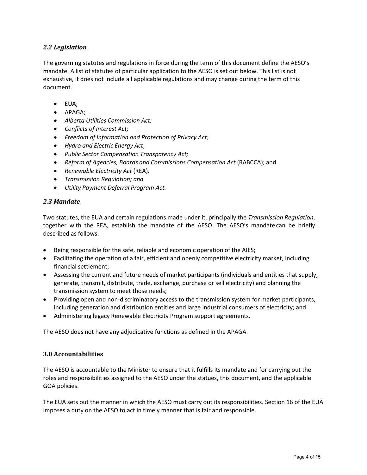# *2.2 Legislation*

The governing statutes and regulations in force during the term of this document define the AESO's mandate. A list of statutes of particular application to the AESO is set out below. This list is not exhaustive, it does not include all applicable regulations and may change during the term of this document.

- EUA;
- APAGA;
- *Alberta Utilities Commission Act;*
- *Conflicts of Interest Act;*
- *Freedom of Information and Protection of Privacy Act;*
- *Hydro and Electric Energy Act*;
- *Public Sector Compensation Transparency Act;*
- *Reform of Agencies, Boards and Commissions Compensation Act* (RABCCA); and
- *Renewable Electricity Act* (REA)*;*
- *Transmission Regulation; and*
- *Utility Payment Deferral Program Act.*

# *2.3 Mandate*

Two statutes, the EUA and certain regulations made under it, principally the *Transmission Regulation*, together with the REA, establish the mandate of the AESO. The AESO's mandate can be briefly described as follows:

- Being responsible for the safe, reliable and economic operation of the AIES;
- Facilitating the operation of a fair, efficient and openly competitive electricity market, including financial settlement;
- Assessing the current and future needs of market participants (individuals and entities that supply, generate, transmit, distribute, trade, exchange, purchase or sell electricity) and planning the transmission system to meet those needs;
- Providing open and non-discriminatory access to the transmission system for market participants, including generation and distribution entities and large industrial consumers of electricity; and
- Administering legacy Renewable Electricity Program support agreements.

The AESO does not have any adjudicative functions as defined in the APAGA.

# <span id="page-3-0"></span>**3.0 Accountabilities**

The AESO is accountable to the Minister to ensure that it fulfills its mandate and for carrying out the roles and responsibilities assigned to the AESO under the statues, this document, and the applicable GOA policies.

The EUA sets out the manner in which the AESO must carry out its responsibilities. Section 16 of the EUA imposes a duty on the AESO to act in timely manner that is fair and responsible.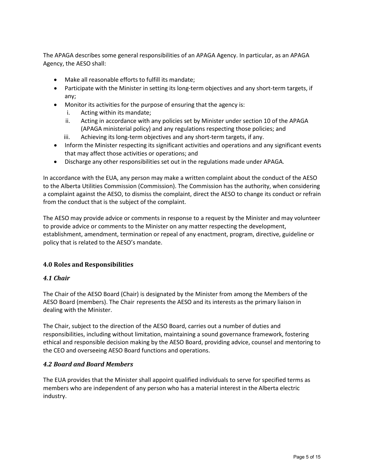The APAGA describes some general responsibilities of an APAGA Agency. In particular, as an APAGA Agency, the AESO shall:

- Make all reasonable efforts to fulfill its mandate;
- Participate with the Minister in setting its long-term objectives and any short-term targets, if any;
- Monitor its activities for the purpose of ensuring that the agency is:
	- i. Acting within its mandate;
	- ii. Acting in accordance with any policies set by Minister under section 10 of the APAGA (APAGA ministerial policy) and any regulations respecting those policies; and
	- iii. Achieving its long-term objectives and any short-term targets, if any.
- Inform the Minister respecting its significant activities and operations and any significant events that may affect those activities or operations; and
- Discharge any other responsibilities set out in the regulations made under APAGA.

In accordance with the EUA, any person may make a written complaint about the conduct of the AESO to the Alberta Utilities Commission (Commission). The Commission has the authority, when considering a complaint against the AESO, to dismiss the complaint, direct the AESO to change its conduct or refrain from the conduct that is the subject of the complaint.

The AESO may provide advice or comments in response to a request by the Minister and may volunteer to provide advice or comments to the Minister on any matter respecting the development, establishment, amendment, termination or repeal of any enactment, program, directive, guideline or policy that is related to the AESO's mandate.

# <span id="page-4-0"></span>**4.0 Roles and Responsibilities**

# *4.1 Chair*

The Chair of the AESO Board (Chair) is designated by the Minister from among the Members of the AESO Board (members). The Chair represents the AESO and its interests as the primary liaison in dealing with the Minister.

The Chair, subject to the direction of the AESO Board, carries out a number of duties and responsibilities, including without limitation, maintaining a sound governance framework, fostering ethical and responsible decision making by the AESO Board, providing advice, counsel and mentoring to the CEO and overseeing AESO Board functions and operations.

# *4.2 Board and Board Members*

The EUA provides that the Minister shall appoint qualified individuals to serve for specified terms as members who are independent of any person who has a material interest in the Alberta electric industry.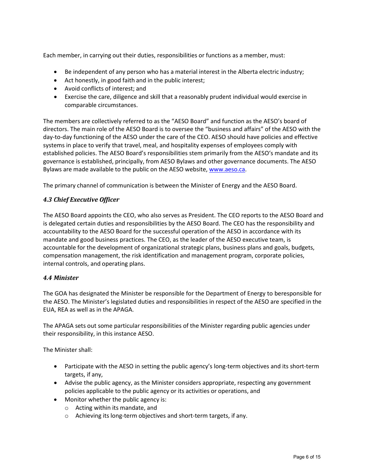Each member, in carrying out their duties, responsibilities or functions as a member, must:

- Be independent of any person who has a material interest in the Alberta electric industry;
- Act honestly, in good faith and in the public interest;
- Avoid conflicts of interest; and
- Exercise the care, diligence and skill that a reasonably prudent individual would exercise in comparable circumstances.

The members are collectively referred to as the "AESO Board" and function as the AESO's board of directors. The main role of the AESO Board is to oversee the "business and affairs" of the AESO with the day-to-day functioning of the AESO under the care of the CEO. AESO should have policies and effective systems in place to verify that travel, meal, and hospitality expenses of employees comply with established policies. The AESO Board's responsibilities stem primarily from the AESO's mandate and its governance is established, principally, from AESO Bylaws and other governance documents. The AESO Bylaws are made available to the public on the AESO website, [www.aeso.ca.](http://www.aeso.ca/)

The primary channel of communication is between the Minister of Energy and the AESO Board.

# *4.3 Chief Executive Officer*

The AESO Board appoints the CEO, who also serves as President. The CEO reports to the AESO Board and is delegated certain duties and responsibilities by the AESO Board. The CEO has the responsibility and accountability to the AESO Board for the successful operation of the AESO in accordance with its mandate and good business practices. The CEO, as the leader of the AESO executive team, is accountable for the development of organizational strategic plans, business plans and goals, budgets, compensation management, the risk identification and management program, corporate policies, internal controls, and operating plans.

# *4.4 Minister*

The GOA has designated the Minister be responsible for the Department of Energy to beresponsible for the AESO. The Minister's legislated duties and responsibilities in respect of the AESO are specified in the EUA, REA as well as in the APAGA.

The APAGA sets out some particular responsibilities of the Minister regarding public agencies under their responsibility, in this instance AESO.

The Minister shall:

- Participate with the AESO in setting the public agency's long-term objectives and its short-term targets, if any,
- Advise the public agency, as the Minister considers appropriate, respecting any government policies applicable to the public agency or its activities or operations, and
- Monitor whether the public agency is:
	- o Acting within its mandate, and
	- o Achieving its long-term objectives and short-term targets, if any.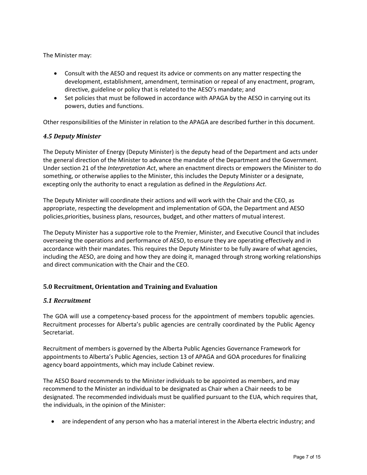The Minister may:

- Consult with the AESO and request its advice or comments on any matter respecting the development, establishment, amendment, termination or repeal of any enactment, program, directive, guideline or policy that is related to the AESO's mandate; and
- Set policies that must be followed in accordance with APAGA by the AESO in carrying out its powers, duties and functions.

Other responsibilities of the Minister in relation to the APAGA are described further in this document.

# *4.5 Deputy Minister*

The Deputy Minister of Energy (Deputy Minister) is the deputy head of the Department and acts under the general direction of the Minister to advance the mandate of the Department and the Government. Under section 21 of the *Interpretation Act*, where an enactment directs or empowers the Minister to do something, or otherwise applies to the Minister, this includes the Deputy Minister or a designate, excepting only the authority to enact a regulation as defined in the *Regulations Act*.

The Deputy Minister will coordinate their actions and will work with the Chair and the CEO, as appropriate, respecting the development and implementation of GOA, the Department and AESO policies,priorities, business plans, resources, budget, and other matters of mutual interest.

The Deputy Minister has a supportive role to the Premier, Minister, and Executive Council that includes overseeing the operations and performance of AESO, to ensure they are operating effectively and in accordance with their mandates. This requires the Deputy Minister to be fully aware of what agencies, including the AESO, are doing and how they are doing it, managed through strong working relationships and direct communication with the Chair and the CEO.

# <span id="page-6-0"></span>**5.0 Recruitment, Orientation and Training and Evaluation**

# *5.1 Recruitment*

The GOA will use a competency-based process for the appointment of members topublic agencies. Recruitment processes for Alberta's public agencies are centrally coordinated by the Public Agency Secretariat.

Recruitment of members is governed by the Alberta Public Agencies Governance Framework for appointments to Alberta's Public Agencies, section 13 of APAGA and GOA procedures for finalizing agency board appointments, which may include Cabinet review.

The AESO Board recommends to the Minister individuals to be appointed as members, and may recommend to the Minister an individual to be designated as Chair when a Chair needs to be designated. The recommended individuals must be qualified pursuant to the EUA, which requires that, the individuals, in the opinion of the Minister:

• are independent of any person who has a material interest in the Alberta electric industry; and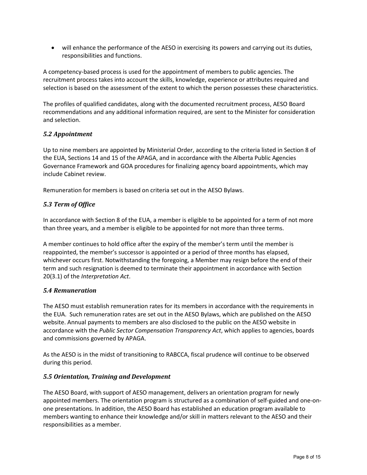• will enhance the performance of the AESO in exercising its powers and carrying out its duties, responsibilities and functions.

A competency-based process is used for the appointment of members to public agencies. The recruitment process takes into account the skills, knowledge, experience or attributes required and selection is based on the assessment of the extent to which the person possesses these characteristics.

The profiles of qualified candidates, along with the documented recruitment process, AESO Board recommendations and any additional information required, are sent to the Minister for consideration and selection.

# *5.2 Appointment*

Up to nine members are appointed by Ministerial Order, according to the criteria listed in Section 8 of the EUA, Sections 14 and 15 of the APAGA, and in accordance with the Alberta Public Agencies Governance Framework and GOA procedures for finalizing agency board appointments, which may include Cabinet review.

Remuneration for members is based on criteria set out in the AESO Bylaws.

# *5.3 Term of Office*

In accordance with Section 8 of the EUA, a member is eligible to be appointed for a term of not more than three years, and a member is eligible to be appointed for not more than three terms.

A member continues to hold office after the expiry of the member's term until the member is reappointed, the member's successor is appointed or a period of three months has elapsed, whichever occurs first. Notwithstanding the foregoing, a Member may resign before the end of their term and such resignation is deemed to terminate their appointment in accordance with Section 20(3.1) of the *Interpretation Act*.

# *5.4 Remuneration*

The AESO must establish remuneration rates for its members in accordance with the requirements in the EUA. Such remuneration rates are set out in the AESO Bylaws, which are published on the AESO website. Annual payments to members are also disclosed to the public on the AESO website in accordance with the *Public Sector Compensation Transparency Act*, which applies to agencies, boards and commissions governed by APAGA.

As the AESO is in the midst of transitioning to RABCCA, fiscal prudence will continue to be observed during this period.

# *5.5 Orientation, Training and Development*

The AESO Board, with support of AESO management, delivers an orientation program for newly appointed members. The orientation program is structured as a combination of self-guided and one-onone presentations. In addition, the AESO Board has established an education program available to members wanting to enhance their knowledge and/or skill in matters relevant to the AESO and their responsibilities as a member.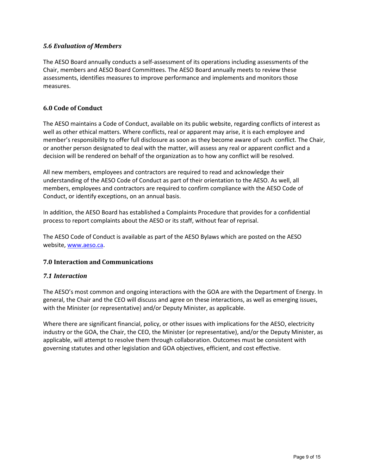# *5.6 Evaluation of Members*

The AESO Board annually conducts a self-assessment of its operations including assessments of the Chair, members and AESO Board Committees. The AESO Board annually meets to review these assessments, identifies measures to improve performance and implements and monitors those measures.

# <span id="page-8-0"></span>**6.0 Code of Conduct**

The AESO maintains a Code of Conduct, available on its public website, regarding conflicts of interest as well as other ethical matters. Where conflicts, real or apparent may arise, it is each employee and member's responsibility to offer full disclosure as soon as they become aware of such conflict. The Chair, or another person designated to deal with the matter, will assess any real or apparent conflict and a decision will be rendered on behalf of the organization as to how any conflict will be resolved.

All new members, employees and contractors are required to read and acknowledge their understanding of the AESO Code of Conduct as part of their orientation to the AESO. As well, all members, employees and contractors are required to confirm compliance with the AESO Code of Conduct, or identify exceptions, on an annual basis.

In addition, the AESO Board has established a Complaints Procedure that provides for a confidential process to report complaints about the AESO or its staff, without fear of reprisal.

The AESO Code of Conduct is available as part of the AESO Bylaws which are posted on the AESO website, [www.aeso.ca.](http://www.aeso.ca/)

# <span id="page-8-1"></span>**7.0 Interaction and Communications**

# *7.1 Interaction*

The AESO's most common and ongoing interactions with the GOA are with the Department of Energy. In general, the Chair and the CEO will discuss and agree on these interactions, as well as emerging issues, with the Minister (or representative) and/or Deputy Minister, as applicable.

Where there are significant financial, policy, or other issues with implications for the AESO, electricity industry or the GOA, the Chair, the CEO, the Minister (or representative), and/or the Deputy Minister, as applicable, will attempt to resolve them through collaboration. Outcomes must be consistent with governing statutes and other legislation and GOA objectives, efficient, and cost effective.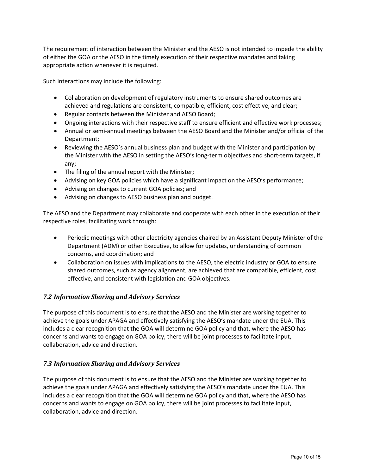The requirement of interaction between the Minister and the AESO is not intended to impede the ability of either the GOA or the AESO in the timely execution of their respective mandates and taking appropriate action whenever it is required.

Such interactions may include the following:

- Collaboration on development of regulatory instruments to ensure shared outcomes are achieved and regulations are consistent, compatible, efficient, cost effective, and clear;
- Regular contacts between the Minister and AESO Board;
- Ongoing interactions with their respective staff to ensure efficient and effective work processes;
- Annual or semi-annual meetings between the AESO Board and the Minister and/or official of the Department;
- Reviewing the AESO's annual business plan and budget with the Minister and participation by the Minister with the AESO in setting the AESO's long-term objectives and short-term targets, if any;
- The filing of the annual report with the Minister;
- Advising on key GOA policies which have a significant impact on the AESO's performance;
- Advising on changes to current GOA policies; and
- Advising on changes to AESO business plan and budget.

The AESO and the Department may collaborate and cooperate with each other in the execution of their respective roles, facilitating work through:

- Periodic meetings with other electricity agencies chaired by an Assistant Deputy Minister of the Department (ADM) or other Executive, to allow for updates, understanding of common concerns, and coordination; and
- Collaboration on issues with implications to the AESO, the electric industry or GOA to ensure shared outcomes, such as agency alignment, are achieved that are compatible, efficient, cost effective, and consistent with legislation and GOA objectives.

# *7.2 Information Sharing and Advisory Services*

The purpose of this document is to ensure that the AESO and the Minister are working together to achieve the goals under APAGA and effectively satisfying the AESO's mandate under the EUA. This includes a clear recognition that the GOA will determine GOA policy and that, where the AESO has concerns and wants to engage on GOA policy, there will be joint processes to facilitate input, collaboration, advice and direction.

# *7.3 Information Sharing and Advisory Services*

The purpose of this document is to ensure that the AESO and the Minister are working together to achieve the goals under APAGA and effectively satisfying the AESO's mandate under the EUA. This includes a clear recognition that the GOA will determine GOA policy and that, where the AESO has concerns and wants to engage on GOA policy, there will be joint processes to facilitate input, collaboration, advice and direction.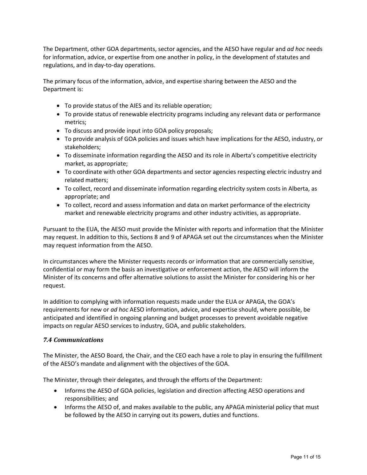The Department, other GOA departments, sector agencies, and the AESO have regular and *ad hoc* needs for information, advice, or expertise from one another in policy, in the development of statutes and regulations, and in day-to-day operations.

The primary focus of the information, advice, and expertise sharing between the AESO and the Department is:

- To provide status of the AIES and its reliable operation;
- To provide status of renewable electricity programs including any relevant data or performance metrics;
- To discuss and provide input into GOA policy proposals;
- To provide analysis of GOA policies and issues which have implications for the AESO, industry, or stakeholders;
- To disseminate information regarding the AESO and its role in Alberta's competitive electricity market, as appropriate;
- To coordinate with other GOA departments and sector agencies respecting electric industry and related matters;
- To collect, record and disseminate information regarding electricity system costs in Alberta, as appropriate; and
- To collect, record and assess information and data on market performance of the electricity market and renewable electricity programs and other industry activities, as appropriate.

Pursuant to the EUA, the AESO must provide the Minister with reports and information that the Minister may request. In addition to this, Sections 8 and 9 of APAGA set out the circumstances when the Minister may request information from the AESO.

In circumstances where the Minister requests records or information that are commercially sensitive, confidential or may form the basis an investigative or enforcement action, the AESO will inform the Minister of its concerns and offer alternative solutions to assist the Minister for considering his or her request.

In addition to complying with information requests made under the EUA or APAGA, the GOA's requirements for new or *ad hoc* AESO information, advice, and expertise should, where possible, be anticipated and identified in ongoing planning and budget processes to prevent avoidable negative impacts on regular AESO services to industry, GOA, and public stakeholders.

# *7.4 Communications*

The Minister, the AESO Board, the Chair, and the CEO each have a role to play in ensuring the fulfillment of the AESO's mandate and alignment with the objectives of the GOA.

The Minister, through their delegates, and through the efforts of the Department:

- Informs the AESO of GOA policies, legislation and direction affecting AESO operations and responsibilities; and
- Informs the AESO of, and makes available to the public, any APAGA ministerial policy that must be followed by the AESO in carrying out its powers, duties and functions.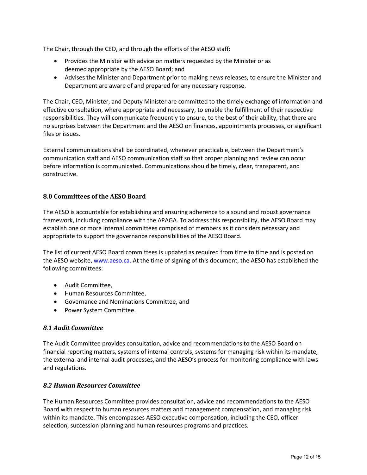The Chair, through the CEO, and through the efforts of the AESO staff:

- Provides the Minister with advice on matters requested by the Minister or as deemed appropriate by the AESO Board; and
- Advises the Minister and Department prior to making news releases, to ensure the Minister and Department are aware of and prepared for any necessary response.

The Chair, CEO, Minister, and Deputy Minister are committed to the timely exchange of information and effective consultation, where appropriate and necessary, to enable the fulfillment of their respective responsibilities. They will communicate frequently to ensure, to the best of their ability, that there are no surprises between the Department and the AESO on finances, appointments processes, or significant files or issues.

External communications shall be coordinated, whenever practicable, between the Department's communication staff and AESO communication staff so that proper planning and review can occur before information is communicated. Communications should be timely, clear, transparent, and constructive.

# <span id="page-11-0"></span>**8.0 Committees of the AESO Board**

The AESO is accountable for establishing and ensuring adherence to a sound and robust governance framework, including compliance with the APAGA. To address this responsibility, the AESO Board may establish one or more internal committees comprised of members as it considers necessary and appropriate to support the governance responsibilities of the AESO Board.

The list of current AESO Board committees is updated as required from time to time and is posted on the AESO website, [www.aeso.ca.](http://www.aeso.ca/) At the time of signing of this document, the AESO has established the following committees:

- Audit Committee,
- Human Resources Committee,
- Governance and Nominations Committee, and
- Power System Committee.

# *8.1 Audit Committee*

The Audit Committee provides consultation, advice and recommendations to the AESO Board on financial reporting matters, systems of internal controls, systems for managing risk within its mandate, the external and internal audit processes, and the AESO's process for monitoring compliance with laws and regulations.

# *8.2 Human Resources Committee*

The Human Resources Committee provides consultation, advice and recommendations to the AESO Board with respect to human resources matters and management compensation, and managing risk within its mandate. This encompasses AESO executive compensation, including the CEO, officer selection, succession planning and human resources programs and practices.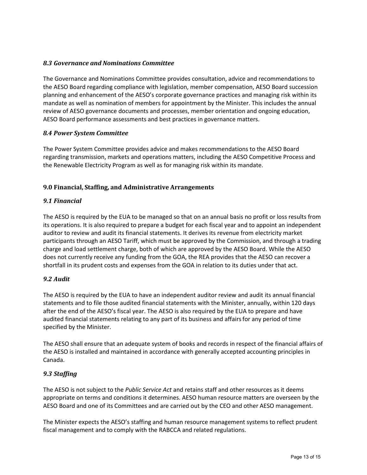# *8.3 Governance and Nominations Committee*

The Governance and Nominations Committee provides consultation, advice and recommendations to the AESO Board regarding compliance with legislation, member compensation, AESO Board succession planning and enhancement of the AESO's corporate governance practices and managing risk within its mandate as well as nomination of members for appointment by the Minister. This includes the annual review of AESO governance documents and processes, member orientation and ongoing education, AESO Board performance assessments and best practices in governance matters.

# *8.4 Power System Committee*

The Power System Committee provides advice and makes recommendations to the AESO Board regarding transmission, markets and operations matters, including the AESO Competitive Process and the Renewable Electricity Program as well as for managing risk within its mandate.

# <span id="page-12-0"></span>**9.0 Financial, Staffing, and Administrative Arrangements**

# *9.1 Financial*

The AESO is required by the EUA to be managed so that on an annual basis no profit or loss results from its operations. It is also required to prepare a budget for each fiscal year and to appoint an independent auditor to review and audit its financial statements. It derives its revenue from electricity market participants through an AESO Tariff, which must be approved by the Commission, and through a trading charge and load settlement charge, both of which are approved by the AESO Board. While the AESO does not currently receive any funding from the GOA, the REA provides that the AESO can recover a shortfall in its prudent costs and expenses from the GOA in relation to its duties under that act.

# *9.2 Audit*

The AESO is required by the EUA to have an independent auditor review and audit its annual financial statements and to file those audited financial statements with the Minister, annually, within 120 days after the end of the AESO's fiscal year. The AESO is also required by the EUA to prepare and have audited financial statements relating to any part of its business and affairs for any period of time specified by the Minister.

The AESO shall ensure that an adequate system of books and records in respect of the financial affairs of the AESO is installed and maintained in accordance with generally accepted accounting principles in Canada.

# *9.3 Staffing*

The AESO is not subject to the *Public Service Act* and retains staff and other resources as it deems appropriate on terms and conditions it determines. AESO human resource matters are overseen by the AESO Board and one of its Committees and are carried out by the CEO and other AESO management.

The Minister expects the AESO's staffing and human resource management systems to reflect prudent fiscal management and to comply with the RABCCA and related regulations.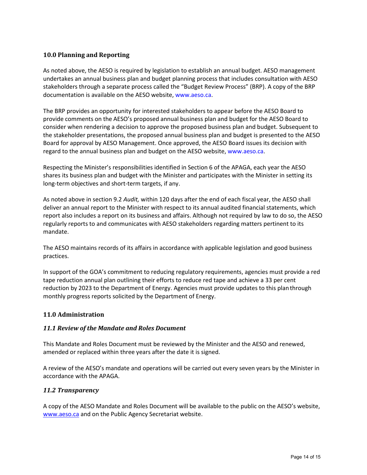# <span id="page-13-0"></span>**10.0 Planning and Reporting**

As noted above, the AESO is required by legislation to establish an annual budget. AESO management undertakes an annual business plan and budget planning process that includes consultation with AESO stakeholders through a separate process called the "Budget Review Process" (BRP). A copy of the BRP documentation is available on the AESO website, [www.aeso.ca.](http://www.aeso.ca/)

The BRP provides an opportunity for interested stakeholders to appear before the AESO Board to provide comments on the AESO's proposed annual business plan and budget for the AESO Board to consider when rendering a decision to approve the proposed business plan and budget. Subsequent to the stakeholder presentations, the proposed annual business plan and budget is presented to the AESO Board for approval by AESO Management. Once approved, the AESO Board issues its decision with regard to the annual business plan and budget on the AESO website, [www.aeso.ca.](http://www.aeso.ca/)

Respecting the Minister's responsibilities identified in Section 6 of the APAGA, each year the AESO shares its business plan and budget with the Minister and participates with the Minister in setting its long-term objectives and short-term targets, if any.

As noted above in section 9.2 *Audit,* within 120 days after the end of each fiscal year, the AESO shall deliver an annual report to the Minister with respect to its annual audited financial statements, which report also includes a report on its business and affairs. Although not required by law to do so, the AESO regularly reports to and communicates with AESO stakeholders regarding matters pertinent to its mandate.

The AESO maintains records of its affairs in accordance with applicable legislation and good business practices.

In support of the GOA's commitment to reducing regulatory requirements, agencies must provide a red tape reduction annual plan outlining their efforts to reduce red tape and achieve a 33 per cent reduction by 2023 to the Department of Energy. Agencies must provide updates to this plan through monthly progress reports solicited by the Department of Energy.

# <span id="page-13-1"></span>**11.0 Administration**

# *11.1 Review of the Mandate and Roles Document*

This Mandate and Roles Document must be reviewed by the Minister and the AESO and renewed, amended or replaced within three years after the date it is signed.

A review of the AESO's mandate and operations will be carried out every seven years by the Minister in accordance with the APAGA.

# *11.2 Transparency*

A copy of the AESO Mandate and Roles Document will be available to the public on the AESO's website, [www.aeso.ca](http://www.aeso.ca/) and on the Public Agency Secretariat website.